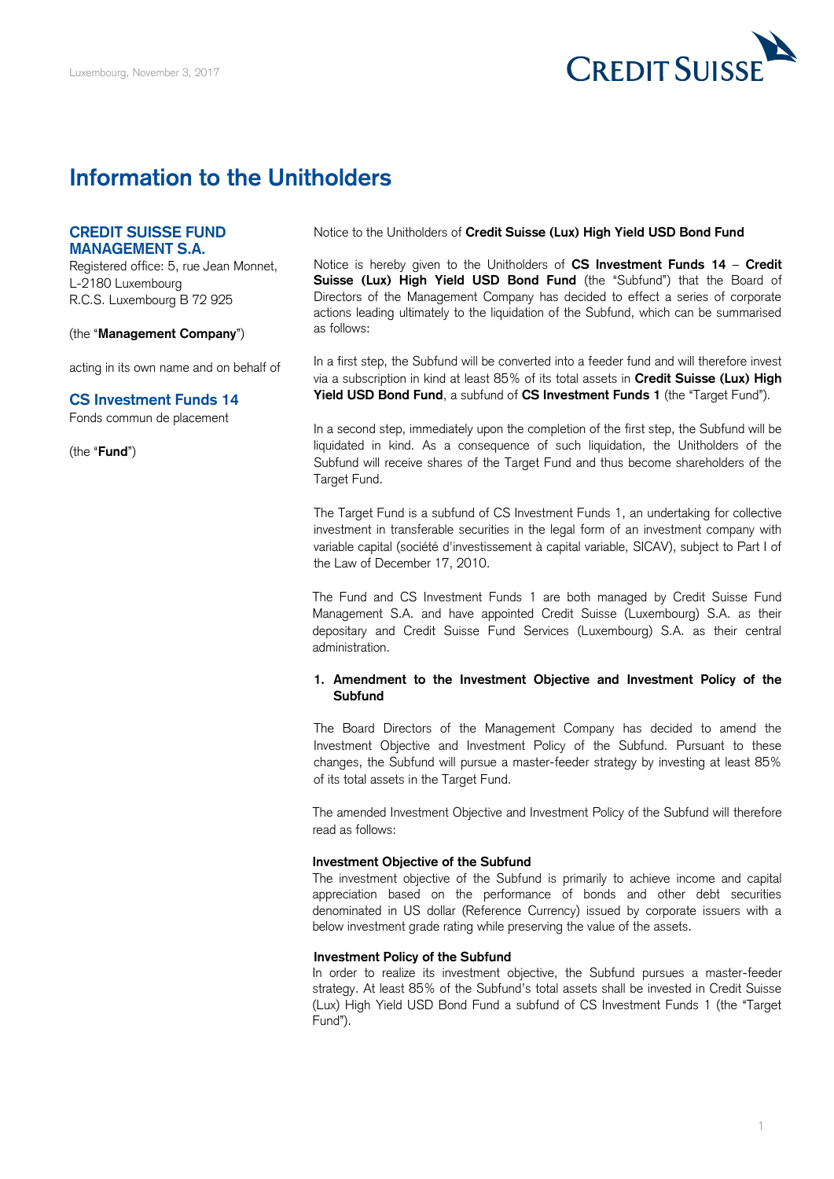

# **Information to the Unitholders**

## **CREDIT SUISSE FUND MANAGEMENT S.A.**

Registered office: 5, rue Jean Monnet, L-2180 Luxembourg R.C.S. Luxembourg B 72 925

(the "**Management Company**")

acting in its own name and on behalf of

## **CS Investment Funds 14**

Fonds commun de placement

(the "**Fund**")

Notice to the Unitholders of **Credit Suisse (Lux) High Yield USD Bond Fund** 

 Notice is hereby given to the Unitholders of **CS Investment Funds 14** – **Credit**  Suisse (Lux) High Yield USD Bond Fund (the "Subfund") that the Board of Directors of the Management Company has decided to effect a series of corporate actions leading ultimately to the liquidation of the Subfund, which can be summarised as follows:

 In a first step, the Subfund will be converted into a feeder fund and will therefore invest via a subscription in kind at least 85% of its total assets in **Credit Suisse (Lux) High Yield USD Bond Fund**, a subfund of **CS Investment Funds 1** (the "Target Fund").

 liquidated in kind. As a consequence of such liquidation, the Unitholders of the Subfund will receive shares of the Target Fund and thus become shareholders of the In a second step, immediately upon the completion of the first step, the Subfund will be Target Fund.

 The Target Fund is a subfund of CS Investment Funds 1, an undertaking for collective investment in transferable securities in the legal form of an investment company with variable capital (société d'investissement à capital variable, SICAV), subject to Part I of the Law of December 17, 2010.

 The Fund and CS Investment Funds 1 are both managed by Credit Suisse Fund Management S.A. and have appointed Credit Suisse (Luxembourg) S.A. as their depositary and Credit Suisse Fund Services (Luxembourg) S.A. as their central administration.

## **1. Amendment to the Investment Objective and Investment Policy of the Subfund**

 The Board Directors of the Management Company has decided to amend the Investment Objective and Investment Policy of the Subfund. Pursuant to these changes, the Subfund will pursue a master-feeder strategy by investing at least 85% of its total assets in the Target Fund.

 The amended Investment Objective and Investment Policy of the Subfund will therefore read as follows:

#### **Investment Objective of the Subfund**

 The investment objective of the Subfund is primarily to achieve income and capital appreciation based on the performance of bonds and other debt securities denominated in US dollar (Reference Currency) issued by corporate issuers with a below investment grade rating while preserving the value of the assets.

## **Investment Policy of the Subfund**

 In order to realize its investment objective, the Subfund pursues a master-feeder strategy. At least 85% of the Subfund's total assets shall be invested in Credit Suisse (Lux) High Yield USD Bond Fund a subfund of CS Investment Funds 1 (the "Target Fund").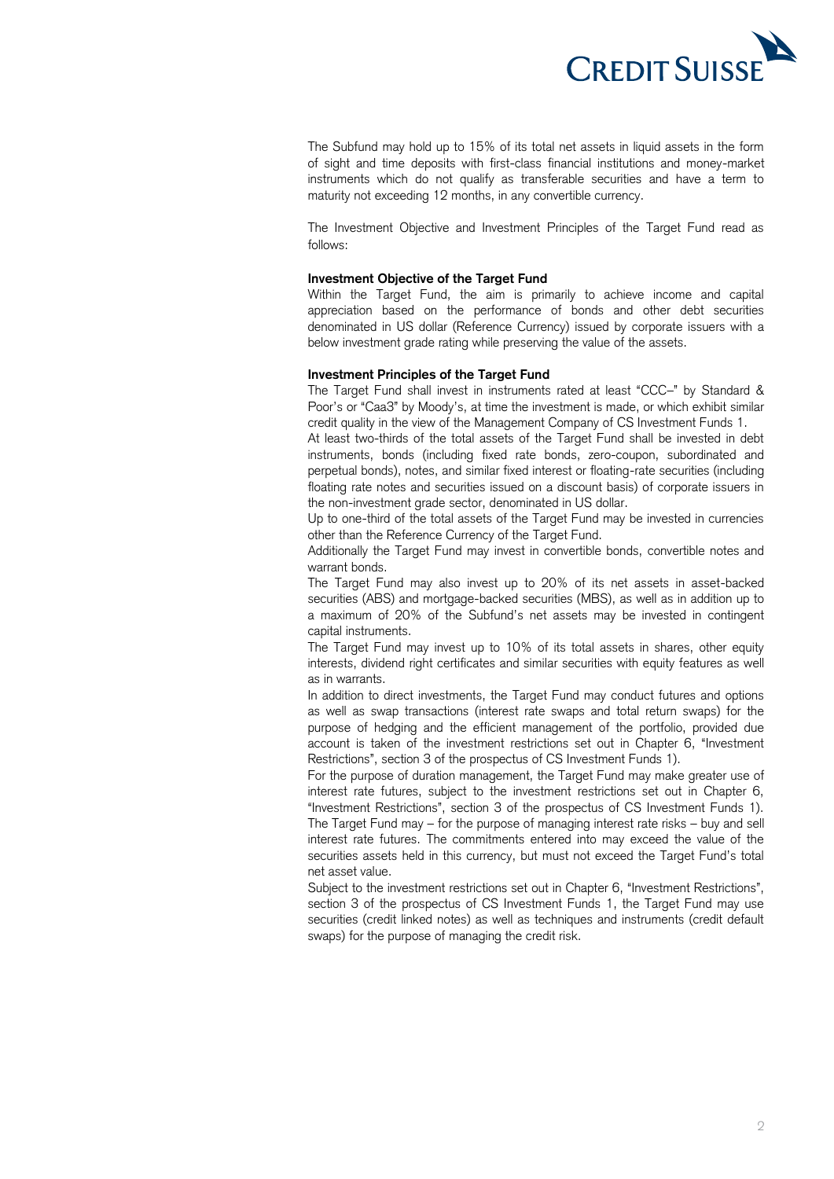

 The Subfund may hold up to 15% of its total net assets in liquid assets in the form of sight and time deposits with first-class financial institutions and money-market instruments which do not qualify as transferable securities and have a term to maturity not exceeding 12 months, in any convertible currency.

 The Investment Objective and Investment Principles of the Target Fund read as follows:

#### **Investment Objective of the Target Fund**

 Within the Target Fund, the aim is primarily to achieve income and capital appreciation based on the performance of bonds and other debt securities denominated in US dollar (Reference Currency) issued by corporate issuers with a below investment grade rating while preserving the value of the assets.

## **Investment Principles of the Target Fund**

 The Target Fund shall invest in instruments rated at least "CCC–" by Standard & credit quality in the view of the Management Company of CS Investment Funds 1. Poor's or "Caa3" by Moody's, at time the investment is made, or which exhibit similar

 At least two-thirds of the total assets of the Target Fund shall be invested in debt instruments, bonds (including fixed rate bonds, zero-coupon, subordinated and perpetual bonds), notes, and similar fixed interest or floating-rate securities (including floating rate notes and securities issued on a discount basis) of corporate issuers in the non-investment grade sector, denominated in US dollar.

 Up to one-third of the total assets of the Target Fund may be invested in currencies other than the Reference Currency of the Target Fund.

 Additionally the Target Fund may invest in convertible bonds, convertible notes and warrant bonds.

 The Target Fund may also invest up to 20% of its net assets in asset-backed securities (ABS) and mortgage-backed securities (MBS), as well as in addition up to a maximum of 20% of the Subfund's net assets may be invested in contingent capital instruments.

 The Target Fund may invest up to 10% of its total assets in shares, other equity interests, dividend right certificates and similar securities with equity features as well as in warrants.

 In addition to direct investments, the Target Fund may conduct futures and options as well as swap transactions (interest rate swaps and total return swaps) for the purpose of hedging and the efficient management of the portfolio, provided due account is taken of the investment restrictions set out in Chapter 6, "Investment Restrictions", section 3 of the prospectus of CS Investment Funds 1).

 For the purpose of duration management, the Target Fund may make greater use of interest rate futures, subject to the investment restrictions set out in Chapter 6, "Investment Restrictions", section 3 of the prospectus of CS Investment Funds 1). The Target Fund may – for the purpose of managing interest rate risks – buy and sell interest rate futures. The commitments entered into may exceed the value of the securities assets held in this currency, but must not exceed the Target Fund's total net asset value.

 Subject to the investment restrictions set out in Chapter 6, "Investment Restrictions", section 3 of the prospectus of CS Investment Funds 1, the Target Fund may use securities (credit linked notes) as well as techniques and instruments (credit default swaps) for the purpose of managing the credit risk.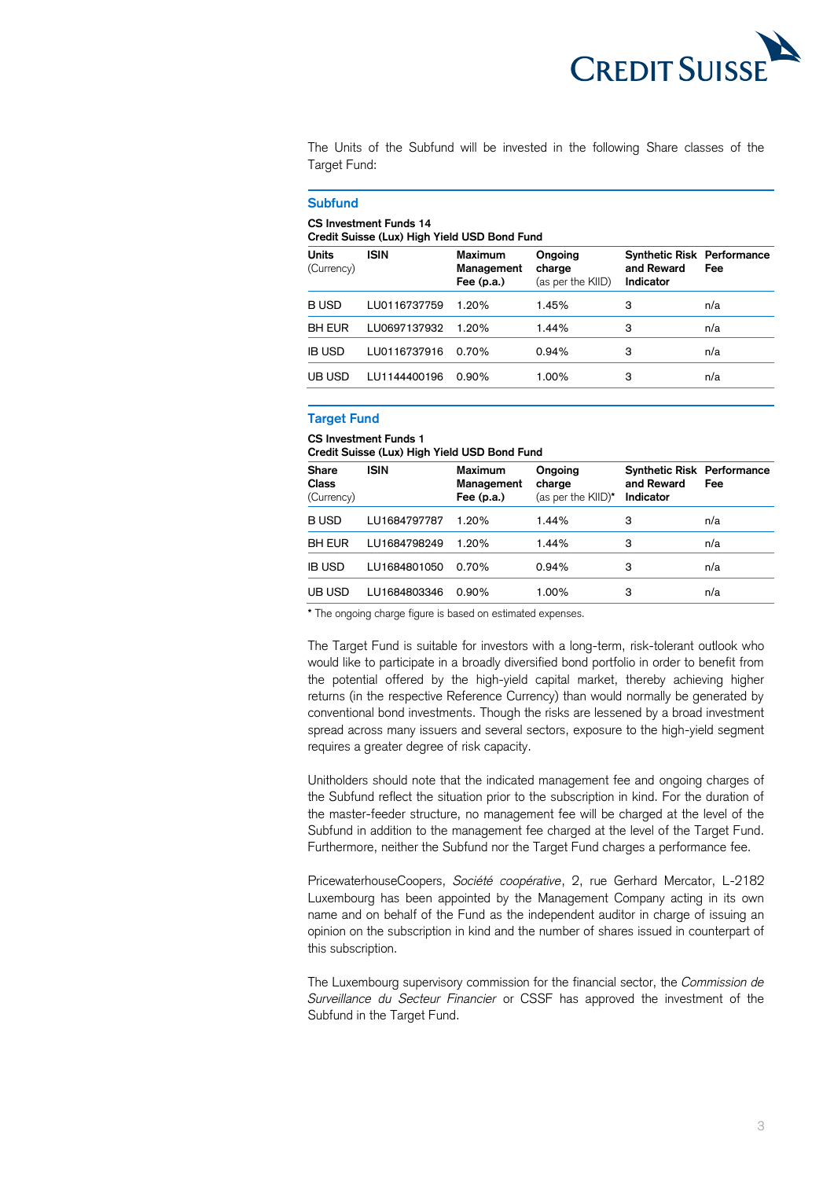

 The Units of the Subfund will be invested in the following Share classes of the Target Fund:

#### **Credit Suisse (Lux) High Yield USD Bond Fund and Reward Subfund CS Investment Funds 14 Units ISIN Maximum Ongoing**  (Currency) **Management charge Fee (p.a.)** (as per the KIID) **Synthetic Risk Performance Indicator Fee**  B USD LU0116737759 1.20% 1.45% 3 n/a BH EUR LU0697137932 1.20% 1.44% 3 n/a IB USD LU0116737916 0.70% 0.94% 3 n/a UB USD LU1144400196 0.90% 1.00% 3 n/a

# **Target Fund**

 **Credit Suisse (Lux) High Yield USD Bond Fund CS Investment Funds 1** 

| Organ Odisse (Edx) Than Tield OOD Dong Fund |              |                                              |                                         |                                                              |     |
|---------------------------------------------|--------------|----------------------------------------------|-----------------------------------------|--------------------------------------------------------------|-----|
| <b>Share</b><br><b>Class</b><br>(Currency)  | <b>ISIN</b>  | <b>Maximum</b><br>Management<br>Fee $(p.a.)$ | Ongoing<br>charge<br>(as per the KIID)* | <b>Synthetic Risk Performance</b><br>and Reward<br>Indicator | Fee |
| <b>BUSD</b>                                 | LU1684797787 | 1.20%                                        | 1.44%                                   | 3                                                            | n/a |
| <b>BH EUR</b>                               | LU1684798249 | 1.20%                                        | 1.44%                                   | 3                                                            | n/a |
| <b>IB USD</b>                               | LU1684801050 | 0.70%                                        | 0.94%                                   | 3                                                            | n/a |
| UB USD                                      | LU1684803346 | $0.90\%$                                     | 1.00%                                   | 3                                                            | n/a |

**\*** The ongoing charge figure is based on estimated expenses.

 The Target Fund is suitable for investors with a long-term, risk-tolerant outlook who would like to participate in a broadly diversified bond portfolio in order to benefit from the potential offered by the high-yield capital market, thereby achieving higher returns (in the respective Reference Currency) than would normally be generated by conventional bond investments. Though the risks are lessened by a broad investment spread across many issuers and several sectors, exposure to the high-yield segment requires a greater degree of risk capacity.

 Unitholders should note that the indicated management fee and ongoing charges of the Subfund reflect the situation prior to the subscription in kind. For the duration of the master-feeder structure, no management fee will be charged at the level of the Subfund in addition to the management fee charged at the level of the Target Fund. Furthermore, neither the Subfund nor the Target Fund charges a performance fee.

 PricewaterhouseCoopers, *Société coopérative*, 2, rue Gerhard Mercator, L-2182 Luxembourg has been appointed by the Management Company acting in its own name and on behalf of the Fund as the independent auditor in charge of issuing an opinion on the subscription in kind and the number of shares issued in counterpart of this subscription.

 The Luxembourg supervisory commission for the financial sector, the *Commission de Surveillance du Secteur Financier* or CSSF has approved the investment of the Subfund in the Target Fund.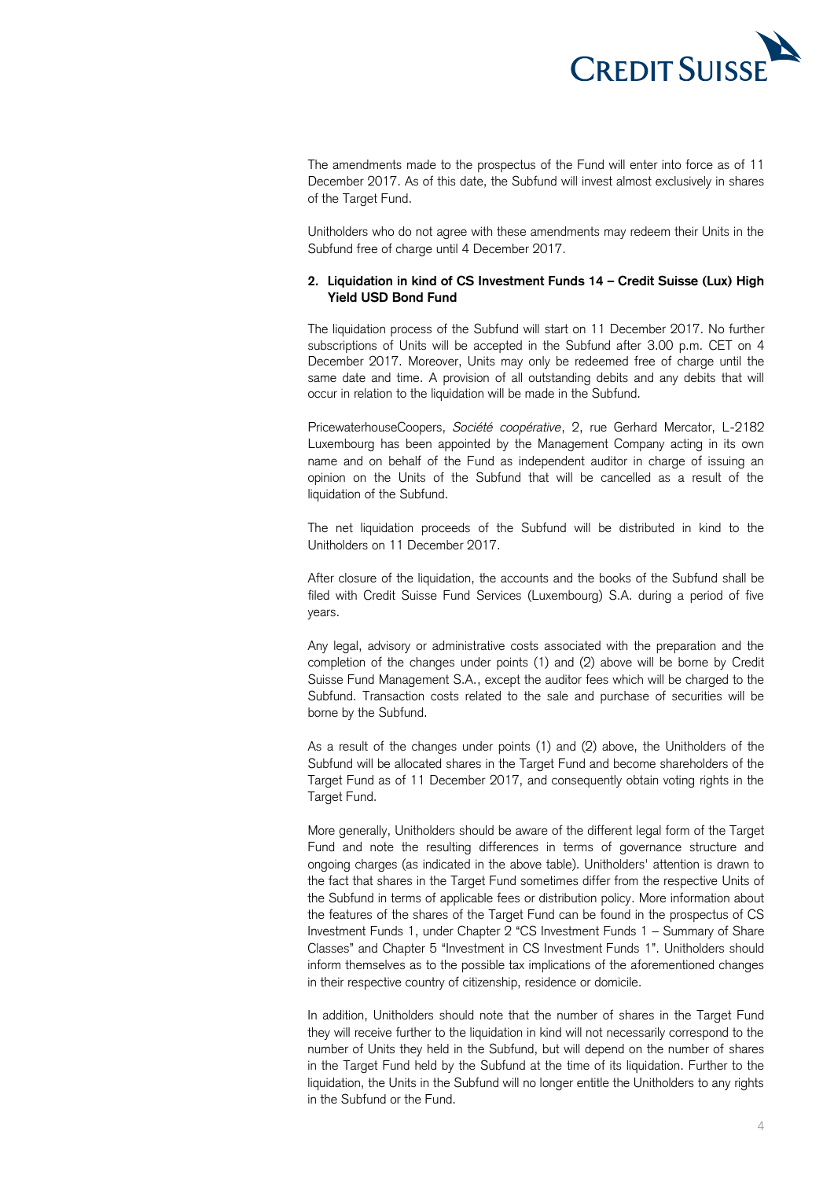

 The amendments made to the prospectus of the Fund will enter into force as of 11 December 2017. As of this date, the Subfund will invest almost exclusively in shares of the Target Fund.

 Unitholders who do not agree with these amendments may redeem their Units in the Subfund free of charge until 4 December 2017.

## **2. Liquidation in kind of CS Investment Funds 14 – Credit Suisse (Lux) High Yield USD Bond Fund**

 The liquidation process of the Subfund will start on 11 December 2017. No further subscriptions of Units will be accepted in the Subfund after 3.00 p.m. CET on 4 December 2017. Moreover, Units may only be redeemed free of charge until the same date and time. A provision of all outstanding debits and any debits that will occur in relation to the liquidation will be made in the Subfund.

 PricewaterhouseCoopers, *Société coopérative*, 2, rue Gerhard Mercator, L-2182 Luxembourg has been appointed by the Management Company acting in its own name and on behalf of the Fund as independent auditor in charge of issuing an opinion on the Units of the Subfund that will be cancelled as a result of the liquidation of the Subfund.

 The net liquidation proceeds of the Subfund will be distributed in kind to the Unitholders on 11 December 2017.

 After closure of the liquidation, the accounts and the books of the Subfund shall be filed with Credit Suisse Fund Services (Luxembourg) S.A. during a period of five years.

 Any legal, advisory or administrative costs associated with the preparation and the completion of the changes under points (1) and (2) above will be borne by Credit Suisse Fund Management S.A., except the auditor fees which will be charged to the Subfund. Transaction costs related to the sale and purchase of securities will be borne by the Subfund.

 As a result of the changes under points (1) and (2) above, the Unitholders of the Subfund will be allocated shares in the Target Fund and become shareholders of the Target Fund as of 11 December 2017, and consequently obtain voting rights in the

Target Fund.<br>More generally, Unitholders should be aware of the different legal form of the Target Fund and note the resulting differences in terms of governance structure and ongoing charges (as indicated in the above table). Unitholders' attention is drawn to the fact that shares in the Target Fund sometimes differ from the respective Units of the Subfund in terms of applicable fees or distribution policy. More information about the features of the shares of the Target Fund can be found in the prospectus of CS Investment Funds 1, under Chapter 2 "CS Investment Funds 1 – Summary of Share Classes" and Chapter 5 "Investment in CS Investment Funds 1". Unitholders should inform themselves as to the possible tax implications of the aforementioned changes in their respective country of citizenship, residence or domicile.

 In addition, Unitholders should note that the number of shares in the Target Fund they will receive further to the liquidation in kind will not necessarily correspond to the number of Units they held in the Subfund, but will depend on the number of shares in the Target Fund held by the Subfund at the time of its liquidation. Further to the liquidation, the Units in the Subfund will no longer entitle the Unitholders to any rights in the Subfund or the Fund.